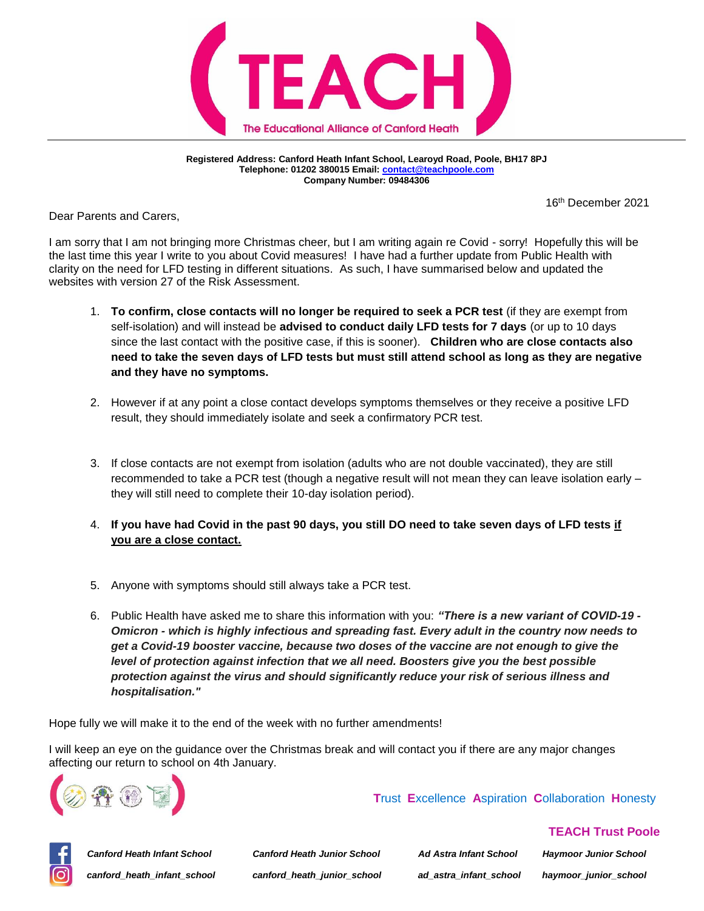

**Registered Address: Canford Heath Infant School, Learoyd Road, Poole, BH17 8PJ Telephone: 01202 380015 Email[: contact@teachpoole.com](mailto:contact@teachpoole.com) Company Number: 09484306**

16th December 2021

Dear Parents and Carers,

I am sorry that I am not bringing more Christmas cheer, but I am writing again re Covid - sorry! Hopefully this will be the last time this year I write to you about Covid measures! I have had a further update from Public Health with clarity on the need for LFD testing in different situations. As such, I have summarised below and updated the websites with version 27 of the Risk Assessment.

- 1. **To confirm, close contacts will no longer be required to seek a PCR test** (if they are exempt from self-isolation) and will instead be **advised to conduct daily LFD tests for 7 days** (or up to 10 days since the last contact with the positive case, if this is sooner). **Children who are close contacts also need to take the seven days of LFD tests but must still attend school as long as they are negative and they have no symptoms.**
- 2. However if at any point a close contact develops symptoms themselves or they receive a positive LFD result, they should immediately isolate and seek a confirmatory PCR test.
- 3. If close contacts are not exempt from isolation (adults who are not double vaccinated), they are still recommended to take a PCR test (though a negative result will not mean they can leave isolation early – they will still need to complete their 10-day isolation period).
- 4. **If you have had Covid in the past 90 days, you still DO need to take seven days of LFD tests if you are a close contact.**
- 5. Anyone with symptoms should still always take a PCR test.
- 6. Public Health have asked me to share this information with you: *"There is a new variant of COVID-19 - Omicron - which is highly infectious and spreading fast. Every adult in the country now needs to get a Covid-19 booster vaccine, because two doses of the vaccine are not enough to give the level of protection against infection that we all need. Boosters give you the best possible protection against the virus and should significantly reduce your risk of serious illness and hospitalisation."*

Hope fully we will make it to the end of the week with no further amendments!

I will keep an eye on the guidance over the Christmas break and will contact you if there are any major changes affecting our return to school on 4th January.



 **T**rust **E**xcellence **A**spiration **C**ollaboration **H**onesty



*Canford Heath Infant School Canford Heath Junior School Ad Astra Infant School Haymoor Junior School canford\_heath\_infant\_school canford\_heath\_junior\_school ad\_astra\_infant\_school haymoor\_junior\_school*

 **TEACH Trust Poole**